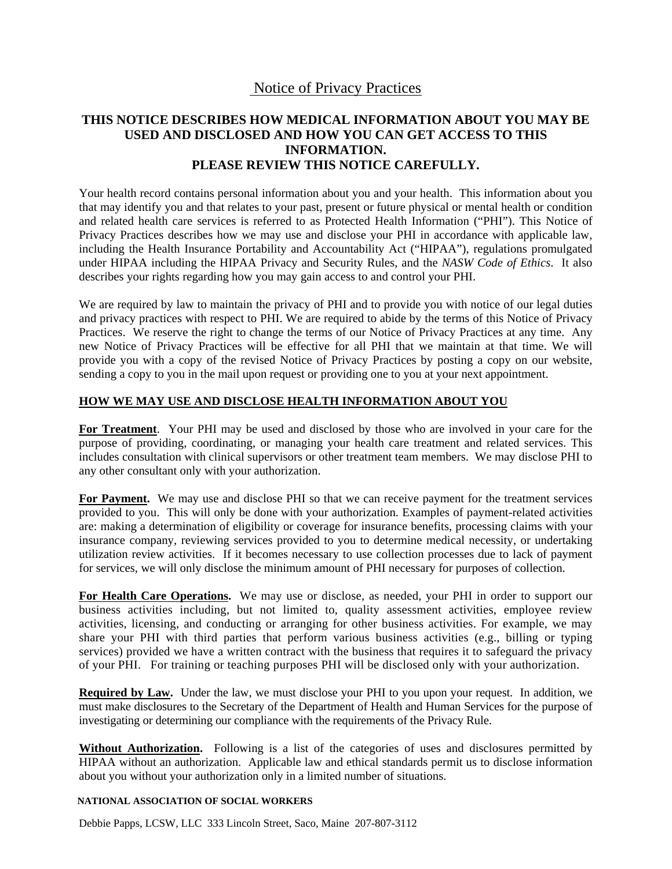# Notice of Privacy Practices

## **THIS NOTICE DESCRIBES HOW MEDICAL INFORMATION ABOUT YOU MAY BE USED AND DISCLOSED AND HOW YOU CAN GET ACCESS TO THIS INFORMATION. PLEASE REVIEW THIS NOTICE CAREFULLY.**

Your health record contains personal information about you and your health. This information about you that may identify you and that relates to your past, present or future physical or mental health or condition and related health care services is referred to as Protected Health Information ("PHI"). This Notice of Privacy Practices describes how we may use and disclose your PHI in accordance with applicable law, including the Health Insurance Portability and Accountability Act ("HIPAA"), regulations promulgated under HIPAA including the HIPAA Privacy and Security Rules, and the *NASW Code of Ethics*. It also describes your rights regarding how you may gain access to and control your PHI.

We are required by law to maintain the privacy of PHI and to provide you with notice of our legal duties and privacy practices with respect to PHI. We are required to abide by the terms of this Notice of Privacy Practices. We reserve the right to change the terms of our Notice of Privacy Practices at any time. Any new Notice of Privacy Practices will be effective for all PHI that we maintain at that time. We will provide you with a copy of the revised Notice of Privacy Practices by posting a copy on our website, sending a copy to you in the mail upon request or providing one to you at your next appointment.

### **HOW WE MAY USE AND DISCLOSE HEALTH INFORMATION ABOUT YOU**

**For Treatment**.Your PHI may be used and disclosed by those who are involved in your care for the purpose of providing, coordinating, or managing your health care treatment and related services. This includes consultation with clinical supervisors or other treatment team members. We may disclose PHI to any other consultant only with your authorization.

**For Payment.** We may use and disclose PHI so that we can receive payment for the treatment services provided to you. This will only be done with your authorization. Examples of payment-related activities are: making a determination of eligibility or coverage for insurance benefits, processing claims with your insurance company, reviewing services provided to you to determine medical necessity, or undertaking utilization review activities. If it becomes necessary to use collection processes due to lack of payment for services, we will only disclose the minimum amount of PHI necessary for purposes of collection.

**For Health Care Operations.** We may use or disclose, as needed, your PHI in order to support our business activities including, but not limited to, quality assessment activities, employee review activities, licensing, and conducting or arranging for other business activities. For example, we may share your PHI with third parties that perform various business activities (e.g., billing or typing services) provided we have a written contract with the business that requires it to safeguard the privacy of your PHI. For training or teaching purposes PHI will be disclosed only with your authorization.

**Required by Law.** Under the law, we must disclose your PHI to you upon your request. In addition, we must make disclosures to the Secretary of the Department of Health and Human Services for the purpose of investigating or determining our compliance with the requirements of the Privacy Rule.

Without Authorization. Following is a list of the categories of uses and disclosures permitted by HIPAA without an authorization. Applicable law and ethical standards permit us to disclose information about you without your authorization only in a limited number of situations.

#### **NATIONAL ASSOCIATION OF SOCIAL WORKERS**

Debbie Papps, LCSW, LLC 333 Lincoln Street, Saco, Maine 207-807-3112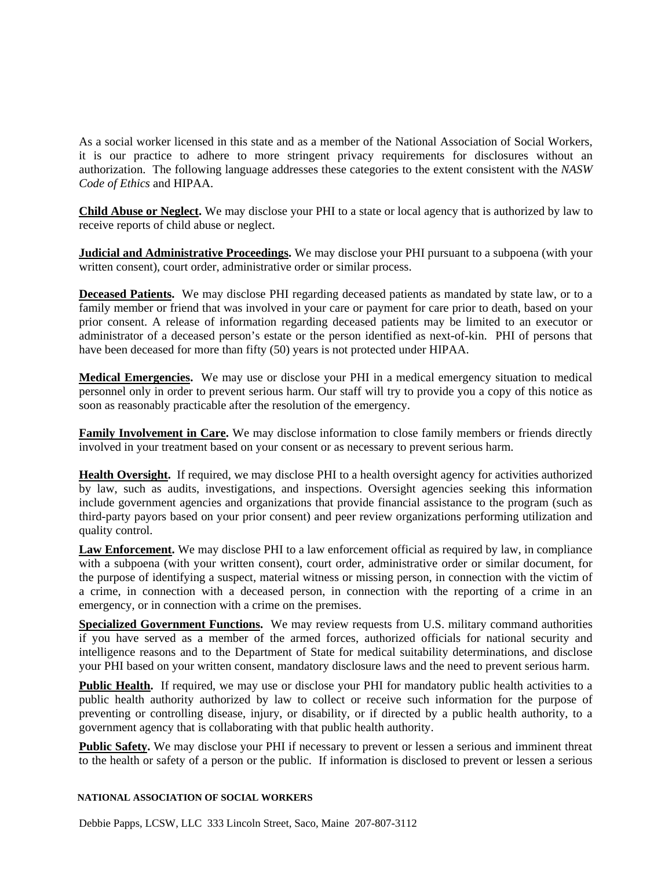As a social worker licensed in this state and as a member of the National Association of Social Workers, it is our practice to adhere to more stringent privacy requirements for disclosures without an authorization.The following language addresses these categories to the extent consistent with the *NASW Code of Ethics* and HIPAA.

**Child Abuse or Neglect.** We may disclose your PHI to a state or local agency that is authorized by law to receive reports of child abuse or neglect.

**Judicial and Administrative Proceedings.** We may disclose your PHI pursuant to a subpoena (with your written consent), court order, administrative order or similar process.

**Deceased Patients.** We may disclose PHI regarding deceased patients as mandated by state law, or to a family member or friend that was involved in your care or payment for care prior to death, based on your prior consent. A release of information regarding deceased patients may be limited to an executor or administrator of a deceased person's estate or the person identified as next-of-kin. PHI of persons that have been deceased for more than fifty (50) years is not protected under HIPAA.

**Medical Emergencies.** We may use or disclose your PHI in a medical emergency situation to medical personnel only in order to prevent serious harm. Our staff will try to provide you a copy of this notice as soon as reasonably practicable after the resolution of the emergency.

**Family Involvement in Care.** We may disclose information to close family members or friends directly involved in your treatment based on your consent or as necessary to prevent serious harm.

**Health Oversight.** If required, we may disclose PHI to a health oversight agency for activities authorized by law, such as audits, investigations, and inspections. Oversight agencies seeking this information include government agencies and organizations that provide financial assistance to the program (such as third-party payors based on your prior consent) and peer review organizations performing utilization and quality control.

**Law Enforcement.** We may disclose PHI to a law enforcement official as required by law, in compliance with a subpoena (with your written consent), court order, administrative order or similar document, for the purpose of identifying a suspect, material witness or missing person, in connection with the victim of a crime, in connection with a deceased person, in connection with the reporting of a crime in an emergency, or in connection with a crime on the premises.

**Specialized Government Functions.** We may review requests from U.S. military command authorities if you have served as a member of the armed forces, authorized officials for national security and intelligence reasons and to the Department of State for medical suitability determinations, and disclose your PHI based on your written consent, mandatory disclosure laws and the need to prevent serious harm.

**Public Health.** If required, we may use or disclose your PHI for mandatory public health activities to a public health authority authorized by law to collect or receive such information for the purpose of preventing or controlling disease, injury, or disability, or if directed by a public health authority, to a government agency that is collaborating with that public health authority.

**Public Safety.** We may disclose your PHI if necessary to prevent or lessen a serious and imminent threat to the health or safety of a person or the public. If information is disclosed to prevent or lessen a serious

#### **NATIONAL ASSOCIATION OF SOCIAL WORKERS**

Debbie Papps, LCSW, LLC 333 Lincoln Street, Saco, Maine 207-807-3112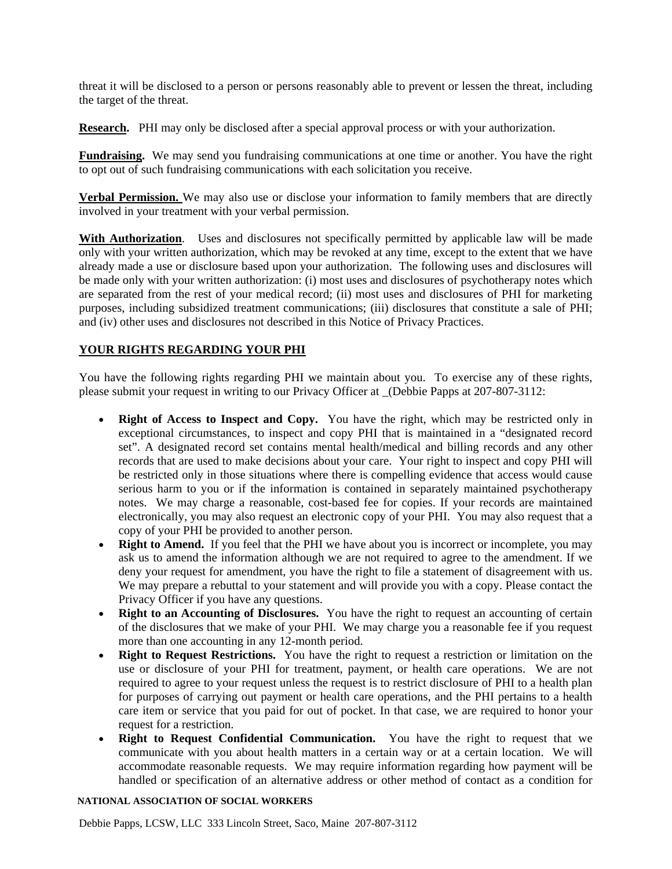threat it will be disclosed to a person or persons reasonably able to prevent or lessen the threat, including the target of the threat.

**Research.** PHI may only be disclosed after a special approval process or with your authorization.

**Fundraising.** We may send you fundraising communications at one time or another. You have the right to opt out of such fundraising communications with each solicitation you receive.

**Verbal Permission.** We may also use or disclose your information to family members that are directly involved in your treatment with your verbal permission.

**With Authorization.** Uses and disclosures not specifically permitted by applicable law will be made only with your written authorization, which may be revoked at any time, except to the extent that we have already made a use or disclosure based upon your authorization. The following uses and disclosures will be made only with your written authorization: (i) most uses and disclosures of psychotherapy notes which are separated from the rest of your medical record; (ii) most uses and disclosures of PHI for marketing purposes, including subsidized treatment communications; (iii) disclosures that constitute a sale of PHI; and (iv) other uses and disclosures not described in this Notice of Privacy Practices.

### **YOUR RIGHTS REGARDING YOUR PHI**

You have the following rights regarding PHI we maintain about you. To exercise any of these rights, please submit your request in writing to our Privacy Officer at \_(Debbie Papps at 207-807-3112:

- **Right of Access to Inspect and Copy.** You have the right, which may be restricted only in exceptional circumstances, to inspect and copy PHI that is maintained in a "designated record set". A designated record set contains mental health/medical and billing records and any other records that are used to make decisions about your care. Your right to inspect and copy PHI will be restricted only in those situations where there is compelling evidence that access would cause serious harm to you or if the information is contained in separately maintained psychotherapy notes. We may charge a reasonable, cost-based fee for copies. If your records are maintained electronically, you may also request an electronic copy of your PHI. You may also request that a copy of your PHI be provided to another person.
- **Right to Amend.** If you feel that the PHI we have about you is incorrect or incomplete, you may ask us to amend the information although we are not required to agree to the amendment. If we deny your request for amendment, you have the right to file a statement of disagreement with us. We may prepare a rebuttal to your statement and will provide you with a copy. Please contact the Privacy Officer if you have any questions.
- **Right to an Accounting of Disclosures.** You have the right to request an accounting of certain of the disclosures that we make of your PHI. We may charge you a reasonable fee if you request more than one accounting in any 12-month period.
- **Right to Request Restrictions.** You have the right to request a restriction or limitation on the use or disclosure of your PHI for treatment, payment, or health care operations. We are not required to agree to your request unless the request is to restrict disclosure of PHI to a health plan for purposes of carrying out payment or health care operations, and the PHI pertains to a health care item or service that you paid for out of pocket. In that case, we are required to honor your request for a restriction.
- **Right to Request Confidential Communication.** You have the right to request that we communicate with you about health matters in a certain way or at a certain location. We will accommodate reasonable requests. We may require information regarding how payment will be handled or specification of an alternative address or other method of contact as a condition for

#### **NATIONAL ASSOCIATION OF SOCIAL WORKERS**